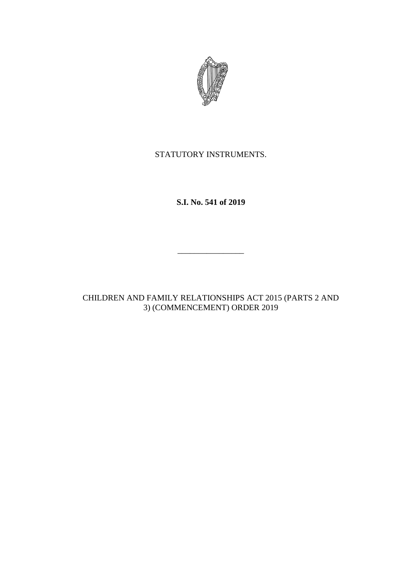

STATUTORY INSTRUMENTS.

**S.I. No. 541 of 2019**

\_\_\_\_\_\_\_\_\_\_\_\_\_\_\_\_

CHILDREN AND FAMILY RELATIONSHIPS ACT 2015 (PARTS 2 AND 3) (COMMENCEMENT) ORDER 2019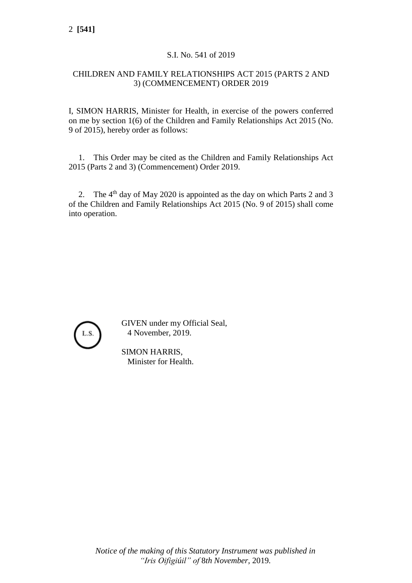## S.I. No. 541 of 2019

## CHILDREN AND FAMILY RELATIONSHIPS ACT 2015 (PARTS 2 AND 3) (COMMENCEMENT) ORDER 2019

I, SIMON HARRIS, Minister for Health, in exercise of the powers conferred on me by section 1(6) of the Children and Family Relationships Act 2015 (No. 9 of 2015), hereby order as follows:

1. This Order may be cited as the Children and Family Relationships Act 2015 (Parts 2 and 3) (Commencement) Order 2019.

2. The 4<sup>th</sup> day of May 2020 is appointed as the day on which Parts 2 and 3 of the Children and Family Relationships Act 2015 (No. 9 of 2015) shall come into operation.



GIVEN under my Official Seal, 4 November, 2019.

SIMON HARRIS, Minister for Health.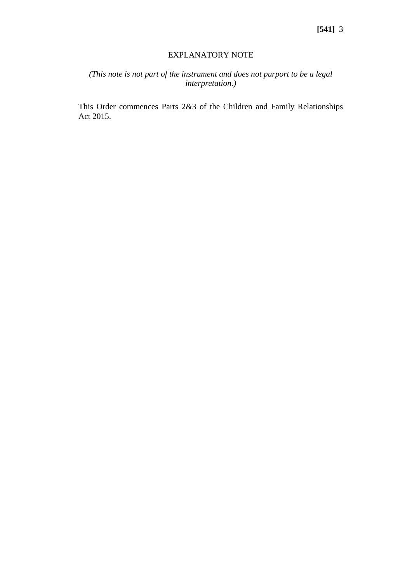## EXPLANATORY NOTE

## *(This note is not part of the instrument and does not purport to be a legal interpretation.)*

This Order commences Parts 2&3 of the Children and Family Relationships Act 2015.